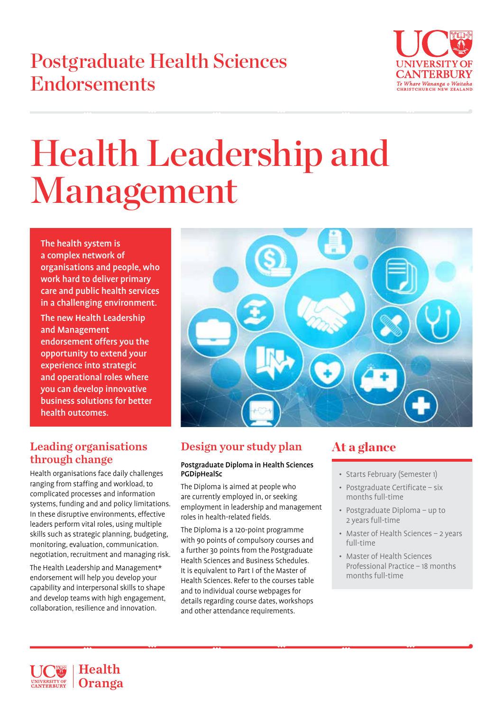## Postgraduate Health Sciences Endorsements



# Health Leadership and Management

The health system is a complex network of organisations and people, who work hard to deliver primary care and public health services in a challenging environment.

The new Health Leadership and Management endorsement offers you the opportunity to extend your experience into strategic and operational roles where you can develop innovative business solutions for better health outcomes.

## Leading organisations through change

Health organisations face daily challenges ranging from staffing and workload, to complicated processes and information systems, funding and and policy limitations. In these disruptive environments, effective leaders perform vital roles, using multiple skills such as strategic planning, budgeting, monitoring, evaluation, communication. negotiation, recruitment and managing risk.

The Health Leadership and Management\* endorsement will help you develop your capability and interpersonal skills to shape and develop teams with high engagement, collaboration, resilience and innovation.



## Design your study plan

#### Postgraduate Diploma in Health Sciences **PGDipHealSc**

The Diploma is aimed at people who are currently employed in, or seeking employment in leadership and management roles in health-related fields.

The Diploma is a 120-point programme with 90 points of compulsory courses and a further 30 points from the Postgraduate Health Sciences and Business Schedules. It is equivalent to Part I of the Master of Health Sciences. Refer to the courses table and to individual course webpages for details regarding course dates, workshops and other attendance requirements.

## At a glance

- Starts February (Semester 1)
- Postgraduate Certificate six months full-time
- Postgraduate Diploma up to 2 years full-time
- Master of Health Sciences 2 years full-time
- Master of Health Sciences Professional Practice – 18 months months full-time